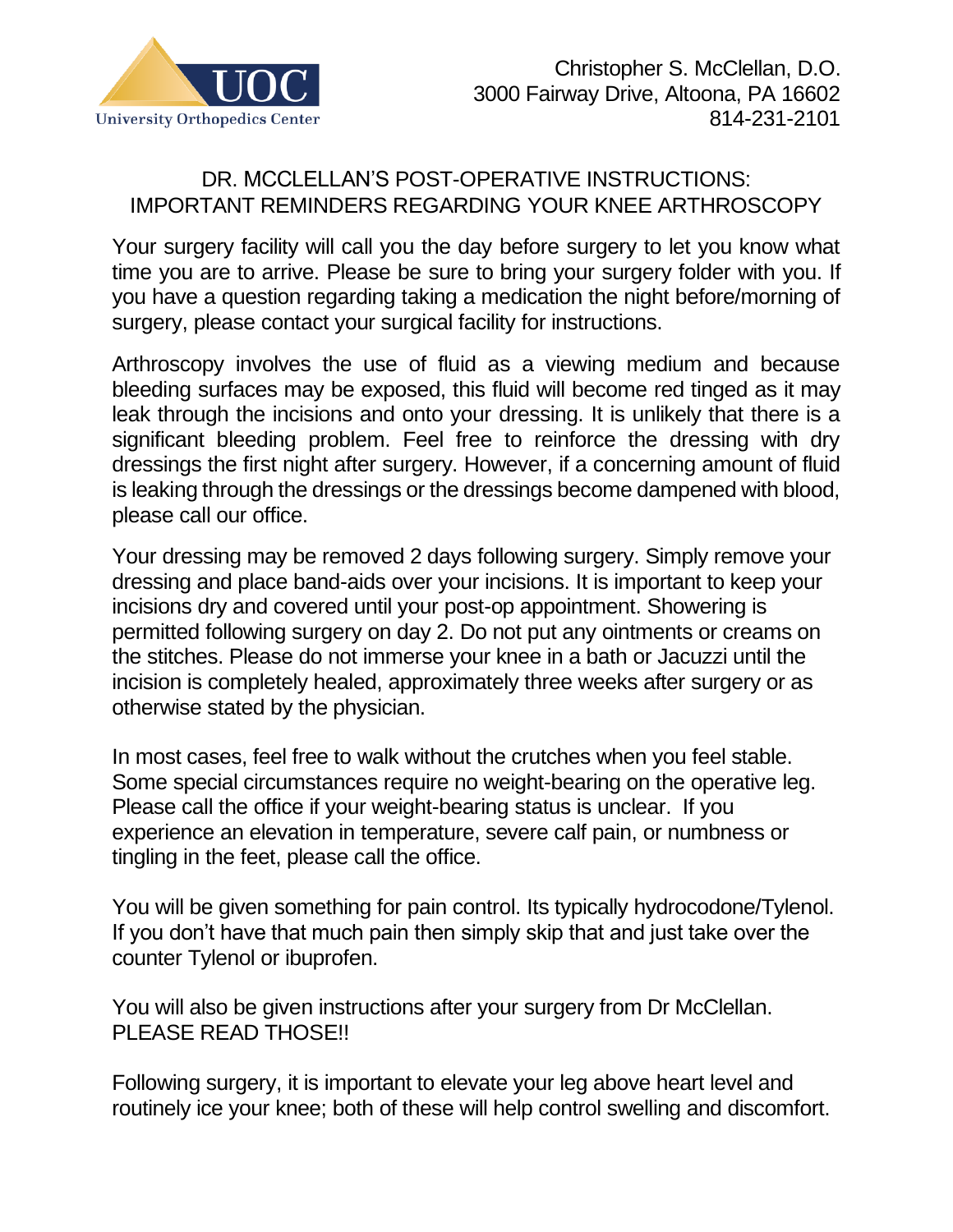

## DR. MCCLELLAN'S POST-OPERATIVE INSTRUCTIONS: IMPORTANT REMINDERS REGARDING YOUR KNEE ARTHROSCOPY

Your surgery facility will call you the day before surgery to let you know what time you are to arrive. Please be sure to bring your surgery folder with you. If you have a question regarding taking a medication the night before/morning of surgery, please contact your surgical facility for instructions.

Arthroscopy involves the use of fluid as a viewing medium and because bleeding surfaces may be exposed, this fluid will become red tinged as it may leak through the incisions and onto your dressing. It is unlikely that there is a significant bleeding problem. Feel free to reinforce the dressing with dry dressings the first night after surgery. However, if a concerning amount of fluid is leaking through the dressings or the dressings become dampened with blood, please call our office.

Your dressing may be removed 2 days following surgery. Simply remove your dressing and place band-aids over your incisions. It is important to keep your incisions dry and covered until your post-op appointment. Showering is permitted following surgery on day 2. Do not put any ointments or creams on the stitches. Please do not immerse your knee in a bath or Jacuzzi until the incision is completely healed, approximately three weeks after surgery or as otherwise stated by the physician.

In most cases, feel free to walk without the crutches when you feel stable. Some special circumstances require no weight-bearing on the operative leg. Please call the office if your weight-bearing status is unclear. If you experience an elevation in temperature, severe calf pain, or numbness or tingling in the feet, please call the office.

You will be given something for pain control. Its typically hydrocodone/Tylenol. If you don't have that much pain then simply skip that and just take over the counter Tylenol or ibuprofen.

You will also be given instructions after your surgery from Dr McClellan. PLEASE READ THOSE!!

Following surgery, it is important to elevate your leg above heart level and routinely ice your knee; both of these will help control swelling and discomfort.